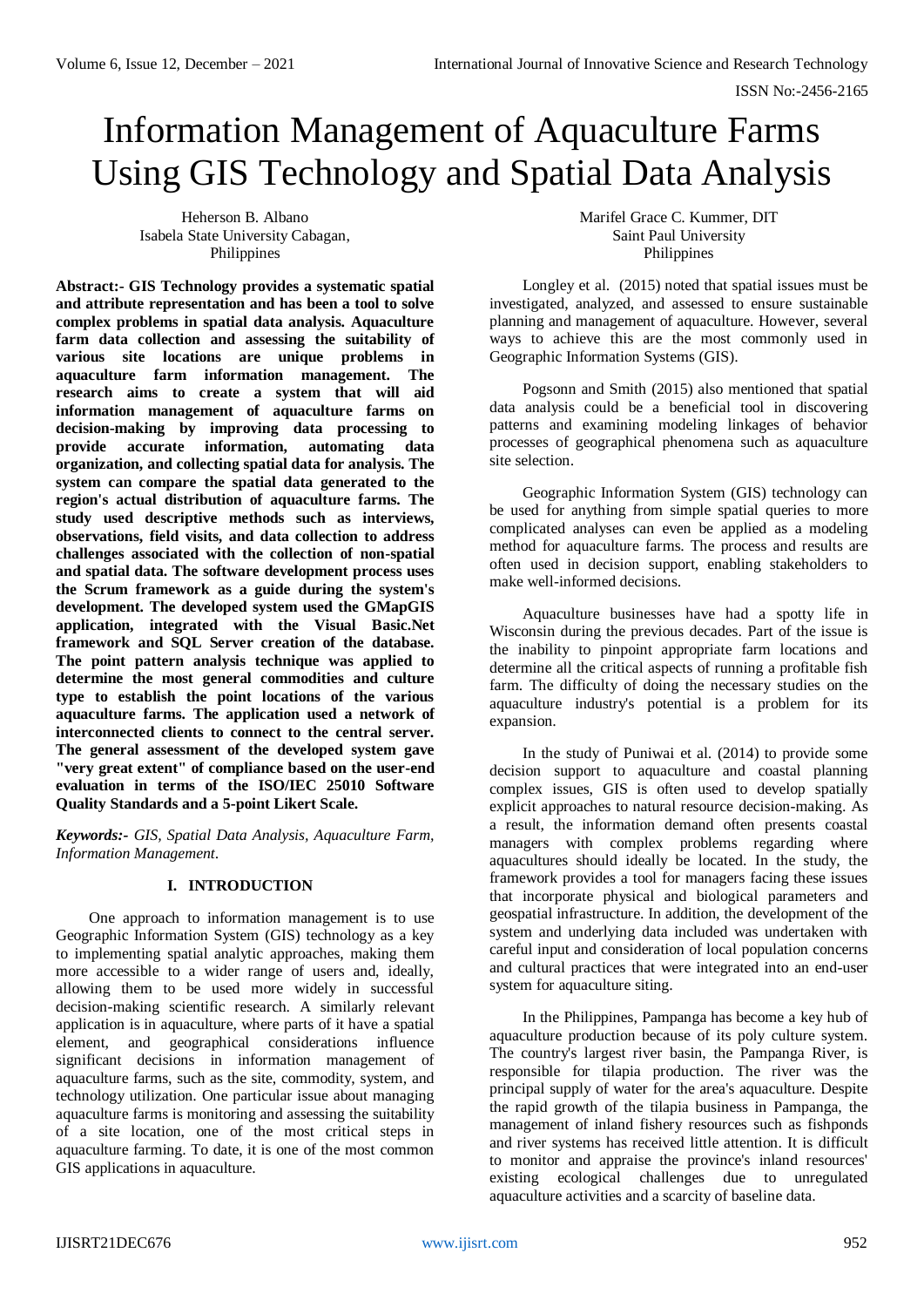ISSN No:-2456-2165

# Information Management of Aquaculture Farms Using GIS Technology and Spatial Data Analysis

Heherson B. Albano Isabela State University Cabagan, Philippines

**Abstract:- GIS Technology provides a systematic spatial and attribute representation and has been a tool to solve complex problems in spatial data analysis. Aquaculture farm data collection and assessing the suitability of various site locations are unique problems in aquaculture farm information management. The research aims to create a system that will aid information management of aquaculture farms on decision-making by improving data processing to provide accurate information, automating data organization, and collecting spatial data for analysis. The system can compare the spatial data generated to the region's actual distribution of aquaculture farms. The study used descriptive methods such as interviews, observations, field visits, and data collection to address challenges associated with the collection of non-spatial and spatial data. The software development process uses the Scrum framework as a guide during the system's development. The developed system used the GMapGIS application, integrated with the Visual Basic.Net framework and SQL Server creation of the database. The point pattern analysis technique was applied to determine the most general commodities and culture type to establish the point locations of the various aquaculture farms. The application used a network of interconnected clients to connect to the central server. The general assessment of the developed system gave "very great extent" of compliance based on the user-end evaluation in terms of the ISO/IEC 25010 Software Quality Standards and a 5-point Likert Scale.**

*Keywords:- GIS, Spatial Data Analysis, Aquaculture Farm, Information Management*.

# **I. INTRODUCTION**

One approach to information management is to use Geographic Information System (GIS) technology as a key to implementing spatial analytic approaches, making them more accessible to a wider range of users and, ideally, allowing them to be used more widely in successful decision-making scientific research. A similarly relevant application is in aquaculture, where parts of it have a spatial element, and geographical considerations influence significant decisions in information management of aquaculture farms, such as the site, commodity, system, and technology utilization. One particular issue about managing aquaculture farms is monitoring and assessing the suitability of a site location, one of the most critical steps in aquaculture farming. To date, it is one of the most common GIS applications in aquaculture.

Marifel Grace C. Kummer, DIT Saint Paul University Philippines

Longley et al. (2015) noted that spatial issues must be investigated, analyzed, and assessed to ensure sustainable planning and management of aquaculture. However, several ways to achieve this are the most commonly used in Geographic Information Systems (GIS).

Pogsonn and Smith (2015) also mentioned that spatial data analysis could be a beneficial tool in discovering patterns and examining modeling linkages of behavior processes of geographical phenomena such as aquaculture site selection.

Geographic Information System (GIS) technology can be used for anything from simple spatial queries to more complicated analyses can even be applied as a modeling method for aquaculture farms. The process and results are often used in decision support, enabling stakeholders to make well-informed decisions.

Aquaculture businesses have had a spotty life in Wisconsin during the previous decades. Part of the issue is the inability to pinpoint appropriate farm locations and determine all the critical aspects of running a profitable fish farm. The difficulty of doing the necessary studies on the aquaculture industry's potential is a problem for its expansion.

In the study of Puniwai et al. (2014) to provide some decision support to aquaculture and coastal planning complex issues, GIS is often used to develop spatially explicit approaches to natural resource decision-making. As a result, the information demand often presents coastal managers with complex problems regarding where aquacultures should ideally be located. In the study, the framework provides a tool for managers facing these issues that incorporate physical and biological parameters and geospatial infrastructure. In addition, the development of the system and underlying data included was undertaken with careful input and consideration of local population concerns and cultural practices that were integrated into an end-user system for aquaculture siting.

In the Philippines, Pampanga has become a key hub of aquaculture production because of its poly culture system. The country's largest river basin, the Pampanga River, is responsible for tilapia production. The river was the principal supply of water for the area's aquaculture. Despite the rapid growth of the tilapia business in Pampanga, the management of inland fishery resources such as fishponds and river systems has received little attention. It is difficult to monitor and appraise the province's inland resources' existing ecological challenges due to unregulated aquaculture activities and a scarcity of baseline data.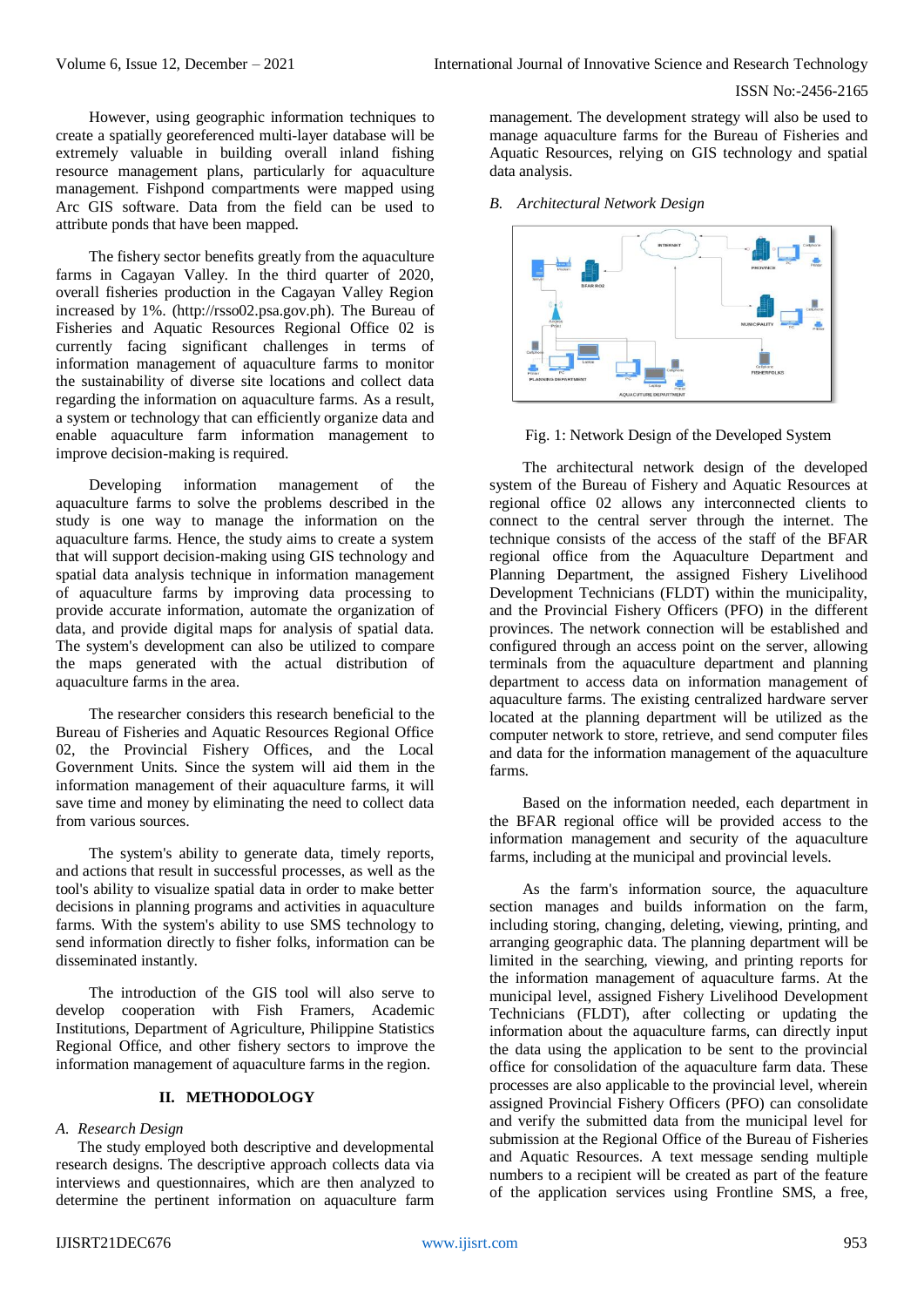However, using geographic information techniques to create a spatially georeferenced multi-layer database will be extremely valuable in building overall inland fishing resource management plans, particularly for aquaculture management. Fishpond compartments were mapped using Arc GIS software. Data from the field can be used to attribute ponds that have been mapped.

The fishery sector benefits greatly from the aquaculture farms in Cagayan Valley. In the third quarter of 2020, overall fisheries production in the Cagayan Valley Region increased by 1%. (http://rsso02.psa.gov.ph). The Bureau of Fisheries and Aquatic Resources Regional Office 02 is currently facing significant challenges in terms of information management of aquaculture farms to monitor the sustainability of diverse site locations and collect data regarding the information on aquaculture farms. As a result, a system or technology that can efficiently organize data and enable aquaculture farm information management to improve decision-making is required.

Developing information management of the aquaculture farms to solve the problems described in the study is one way to manage the information on the aquaculture farms. Hence, the study aims to create a system that will support decision-making using GIS technology and spatial data analysis technique in information management of aquaculture farms by improving data processing to provide accurate information, automate the organization of data, and provide digital maps for analysis of spatial data. The system's development can also be utilized to compare the maps generated with the actual distribution of aquaculture farms in the area.

The researcher considers this research beneficial to the Bureau of Fisheries and Aquatic Resources Regional Office 02, the Provincial Fishery Offices, and the Local Government Units. Since the system will aid them in the information management of their aquaculture farms, it will save time and money by eliminating the need to collect data from various sources.

The system's ability to generate data, timely reports, and actions that result in successful processes, as well as the tool's ability to visualize spatial data in order to make better decisions in planning programs and activities in aquaculture farms. With the system's ability to use SMS technology to send information directly to fisher folks, information can be disseminated instantly.

The introduction of the GIS tool will also serve to develop cooperation with Fish Framers, Academic Institutions, Department of Agriculture, Philippine Statistics Regional Office, and other fishery sectors to improve the information management of aquaculture farms in the region.

# **II. METHODOLOGY**

#### *A. Research Design*

The study employed both descriptive and developmental research designs. The descriptive approach collects data via interviews and questionnaires, which are then analyzed to determine the pertinent information on aquaculture farm management. The development strategy will also be used to manage aquaculture farms for the Bureau of Fisheries and Aquatic Resources, relying on GIS technology and spatial data analysis.

*B. Architectural Network Design*



Fig. 1: Network Design of the Developed System

The architectural network design of the developed system of the Bureau of Fishery and Aquatic Resources at regional office 02 allows any interconnected clients to connect to the central server through the internet. The technique consists of the access of the staff of the BFAR regional office from the Aquaculture Department and Planning Department, the assigned Fishery Livelihood Development Technicians (FLDT) within the municipality, and the Provincial Fishery Officers (PFO) in the different provinces. The network connection will be established and configured through an access point on the server, allowing terminals from the aquaculture department and planning department to access data on information management of aquaculture farms. The existing centralized hardware server located at the planning department will be utilized as the computer network to store, retrieve, and send computer files and data for the information management of the aquaculture farms.

Based on the information needed, each department in the BFAR regional office will be provided access to the information management and security of the aquaculture farms, including at the municipal and provincial levels.

As the farm's information source, the aquaculture section manages and builds information on the farm, including storing, changing, deleting, viewing, printing, and arranging geographic data. The planning department will be limited in the searching, viewing, and printing reports for the information management of aquaculture farms. At the municipal level, assigned Fishery Livelihood Development Technicians (FLDT), after collecting or updating the information about the aquaculture farms, can directly input the data using the application to be sent to the provincial office for consolidation of the aquaculture farm data. These processes are also applicable to the provincial level, wherein assigned Provincial Fishery Officers (PFO) can consolidate and verify the submitted data from the municipal level for submission at the Regional Office of the Bureau of Fisheries and Aquatic Resources. A text message sending multiple numbers to a recipient will be created as part of the feature of the application services using Frontline SMS, a free,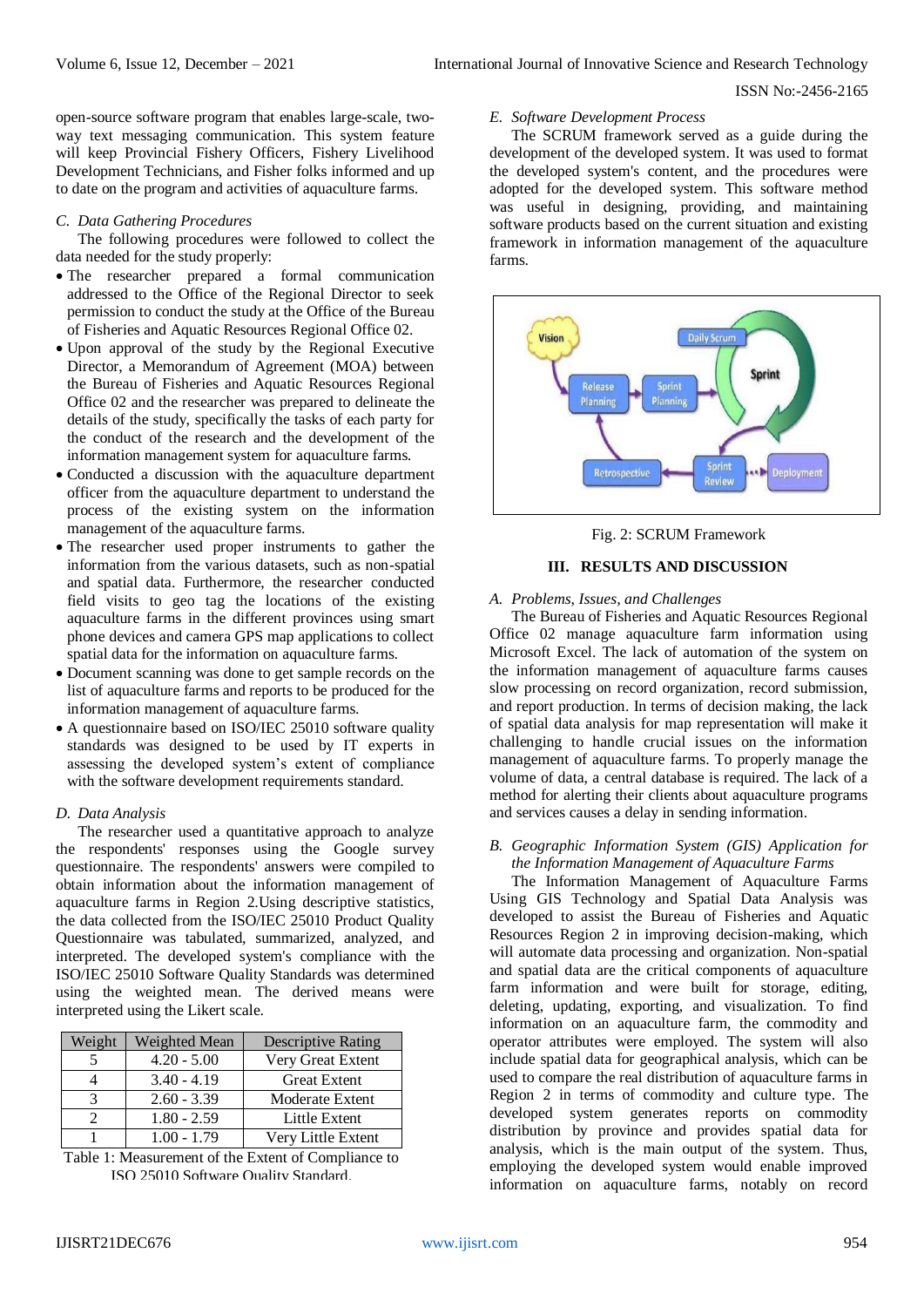### ISSN No:-2456-2165

open-source software program that enables large-scale, twoway text messaging communication. This system feature will keep Provincial Fishery Officers, Fishery Livelihood Development Technicians, and Fisher folks informed and up to date on the program and activities of aquaculture farms.

# *C. Data Gathering Procedures*

The following procedures were followed to collect the data needed for the study properly:

- The researcher prepared a formal communication addressed to the Office of the Regional Director to seek permission to conduct the study at the Office of the Bureau of Fisheries and Aquatic Resources Regional Office 02.
- Upon approval of the study by the Regional Executive Director, a Memorandum of Agreement (MOA) between the Bureau of Fisheries and Aquatic Resources Regional Office 02 and the researcher was prepared to delineate the details of the study, specifically the tasks of each party for the conduct of the research and the development of the information management system for aquaculture farms.
- Conducted a discussion with the aquaculture department officer from the aquaculture department to understand the process of the existing system on the information management of the aquaculture farms.
- The researcher used proper instruments to gather the information from the various datasets, such as non-spatial and spatial data. Furthermore, the researcher conducted field visits to geo tag the locations of the existing aquaculture farms in the different provinces using smart phone devices and camera GPS map applications to collect spatial data for the information on aquaculture farms.
- Document scanning was done to get sample records on the list of aquaculture farms and reports to be produced for the information management of aquaculture farms.
- A questionnaire based on ISO/IEC 25010 software quality standards was designed to be used by IT experts in assessing the developed system's extent of compliance with the software development requirements standard.

# *D. Data Analysis*

The researcher used a quantitative approach to analyze the respondents' responses using the Google survey questionnaire. The respondents' answers were compiled to obtain information about the information management of aquaculture farms in Region 2.Using descriptive statistics, the data collected from the ISO/IEC 25010 Product Quality Questionnaire was tabulated, summarized, analyzed, and interpreted. The developed system's compliance with the ISO/IEC 25010 Software Quality Standards was determined using the weighted mean. The derived means were interpreted using the Likert scale.

| Weight | Weighted Mean | <b>Descriptive Rating</b> |
|--------|---------------|---------------------------|
|        | $4.20 - 5.00$ | Very Great Extent         |
|        | $3.40 - 4.19$ | <b>Great Extent</b>       |
| 3      | $2.60 - 3.39$ | Moderate Extent           |
|        | $1.80 - 2.59$ | Little Extent             |
|        | $1.00 - 1.79$ | Very Little Extent        |

Table 1: Measurement of the Extent of Compliance to ISO 25010 Software Quality Standard.

#### *E. Software Development Process*

The SCRUM framework served as a guide during the development of the developed system. It was used to format the developed system's content, and the procedures were adopted for the developed system. This software method was useful in designing, providing, and maintaining software products based on the current situation and existing framework in information management of the aquaculture farms.



Fig. 2: SCRUM Framework

# **III. RESULTS AND DISCUSSION**

*A. Problems, Issues, and Challenges* 

The Bureau of Fisheries and Aquatic Resources Regional Office 02 manage aquaculture farm information using Microsoft Excel. The lack of automation of the system on the information management of aquaculture farms causes slow processing on record organization, record submission, and report production. In terms of decision making, the lack of spatial data analysis for map representation will make it challenging to handle crucial issues on the information management of aquaculture farms. To properly manage the volume of data, a central database is required. The lack of a method for alerting their clients about aquaculture programs and services causes a delay in sending information.

# *B. Geographic Information System (GIS) Application for the Information Management of Aquaculture Farms*

The Information Management of Aquaculture Farms Using GIS Technology and Spatial Data Analysis was developed to assist the Bureau of Fisheries and Aquatic Resources Region 2 in improving decision-making, which will automate data processing and organization. Non-spatial and spatial data are the critical components of aquaculture farm information and were built for storage, editing, deleting, updating, exporting, and visualization. To find information on an aquaculture farm, the commodity and operator attributes were employed. The system will also include spatial data for geographical analysis, which can be used to compare the real distribution of aquaculture farms in Region 2 in terms of commodity and culture type. The developed system generates reports on commodity distribution by province and provides spatial data for analysis, which is the main output of the system. Thus, employing the developed system would enable improved information on aquaculture farms, notably on record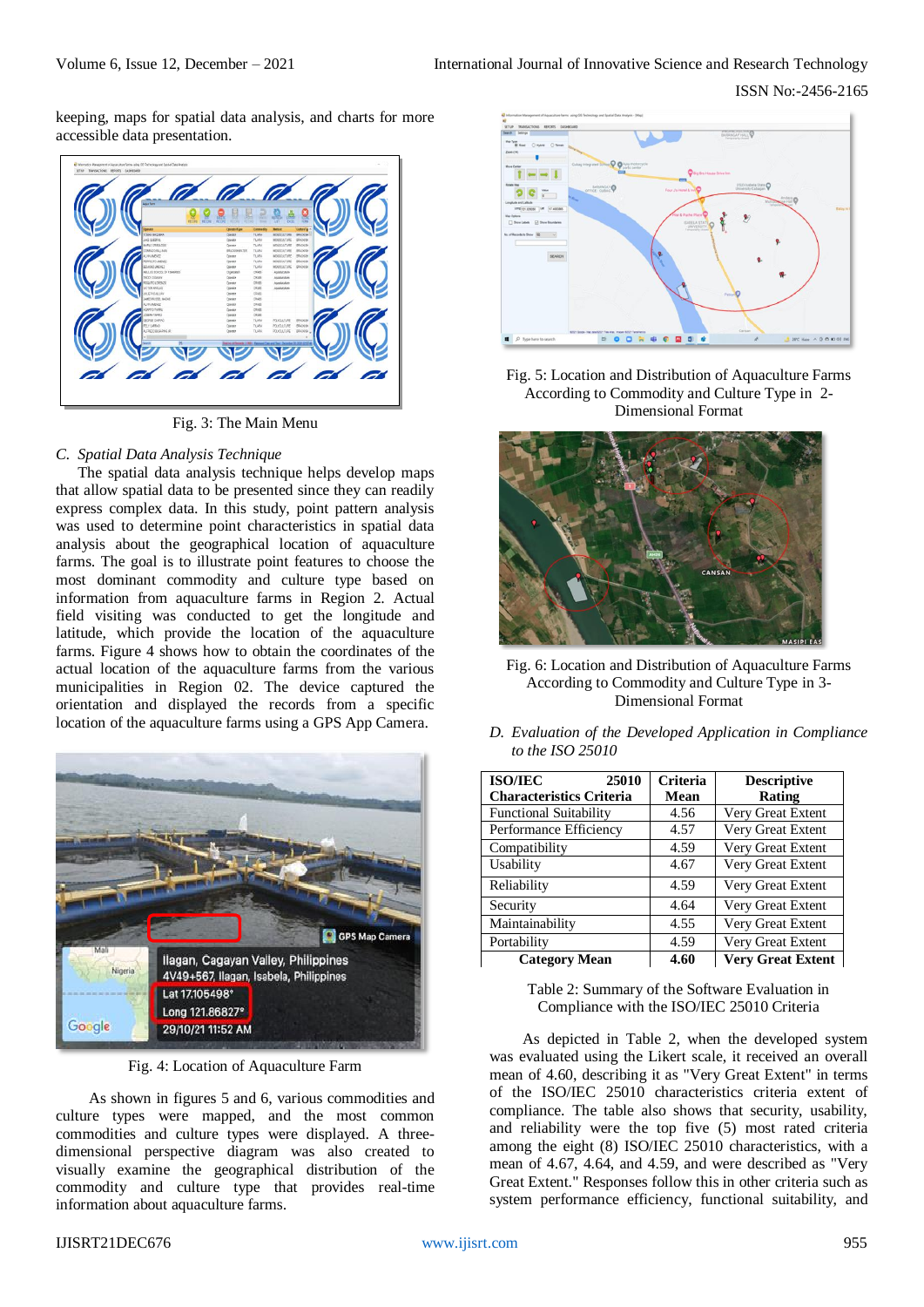keeping, maps for spatial data analysis, and charts for more accessible data presentation.



Fig. 3: The Main Menu

# *C. Spatial Data Analysis Technique*

The spatial data analysis technique helps develop maps that allow spatial data to be presented since they can readily express complex data. In this study, point pattern analysis was used to determine point characteristics in spatial data analysis about the geographical location of aquaculture farms. The goal is to illustrate point features to choose the most dominant commodity and culture type based on information from aquaculture farms in Region 2. Actual field visiting was conducted to get the longitude and latitude, which provide the location of the aquaculture farms. Figure 4 shows how to obtain the coordinates of the actual location of the aquaculture farms from the various municipalities in Region 02. The device captured the orientation and displayed the records from a specific location of the aquaculture farms using a GPS App Camera.



Fig. 4: Location of Aquaculture Farm

As shown in figures 5 and 6, various commodities and culture types were mapped, and the most common commodities and culture types were displayed. A threedimensional perspective diagram was also created to visually examine the geographical distribution of the commodity and culture type that provides real-time information about aquaculture farms.



Fig. 5: Location and Distribution of Aquaculture Farms According to Commodity and Culture Type in 2- Dimensional Format



Fig. 6: Location and Distribution of Aquaculture Farms According to Commodity and Culture Type in 3- Dimensional Format

*D. Evaluation of the Developed Application in Compliance to the ISO 25010*

| <b>ISO/IEC</b><br>25010         | Criteria    | <b>Descriptive</b>       |
|---------------------------------|-------------|--------------------------|
| <b>Characteristics Criteria</b> | <b>Mean</b> | Rating                   |
| <b>Functional Suitability</b>   | 4.56        | Very Great Extent        |
| Performance Efficiency          | 4.57        | Very Great Extent        |
| Compatibility                   | 4.59        | Very Great Extent        |
| Usability                       | 4.67        | Very Great Extent        |
| Reliability                     | 4.59        | Very Great Extent        |
| Security                        | 4.64        | Very Great Extent        |
| Maintainability                 | 4.55        | Very Great Extent        |
| Portability                     | 4.59        | Very Great Extent        |
| <b>Category Mean</b>            | 4.60        | <b>Very Great Extent</b> |

Table 2: Summary of the Software Evaluation in Compliance with the ISO/IEC 25010 Criteria

As depicted in Table 2, when the developed system was evaluated using the Likert scale, it received an overall mean of 4.60, describing it as "Very Great Extent" in terms of the ISO/IEC 25010 characteristics criteria extent of compliance. The table also shows that security, usability, and reliability were the top five (5) most rated criteria among the eight (8) ISO/IEC 25010 characteristics, with a mean of 4.67, 4.64, and 4.59, and were described as "Very Great Extent." Responses follow this in other criteria such as system performance efficiency, functional suitability, and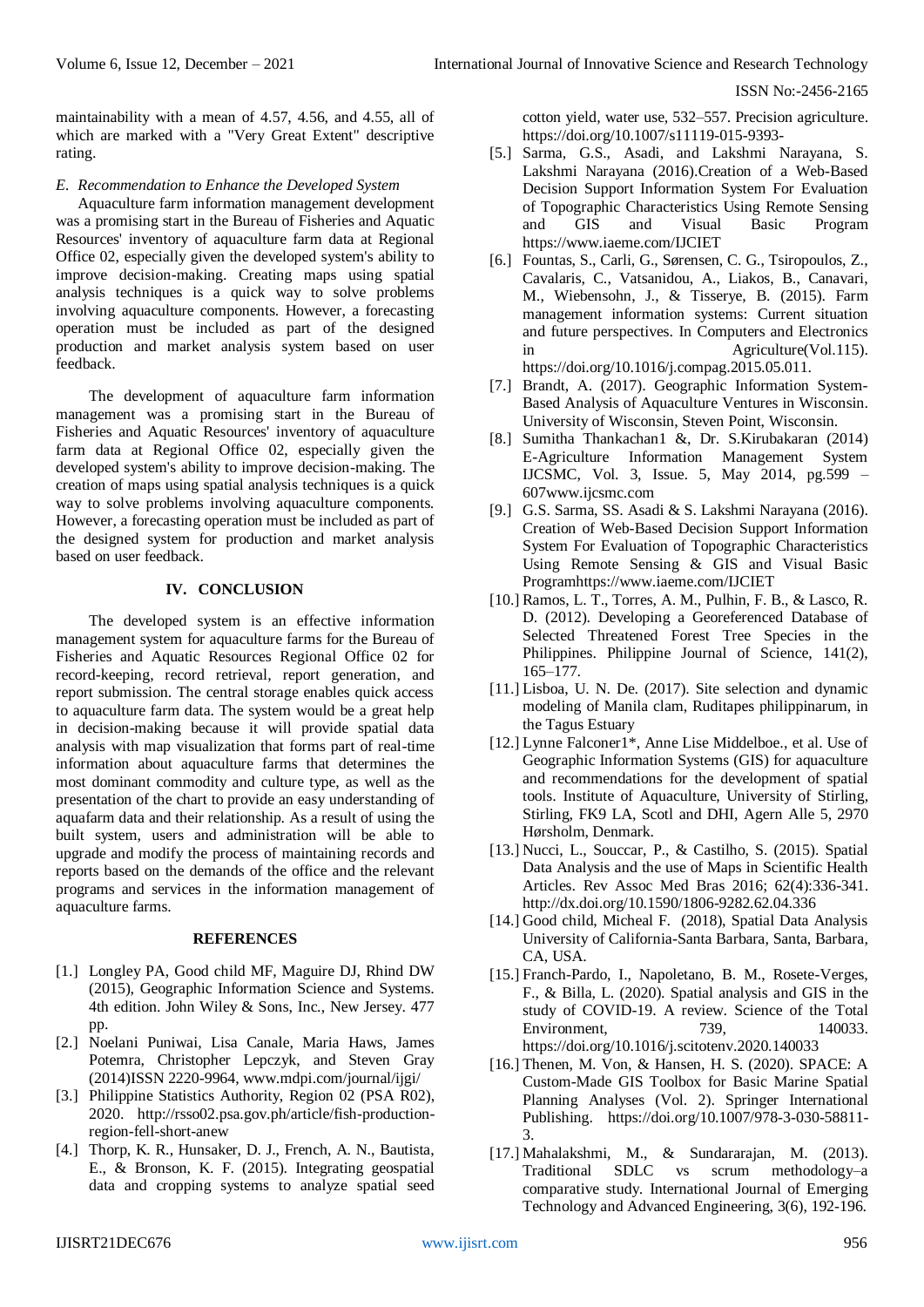ISSN No:-2456-2165

maintainability with a mean of 4.57, 4.56, and 4.55, all of which are marked with a "Very Great Extent" descriptive rating.

# *E. Recommendation to Enhance the Developed System*

Aquaculture farm information management development was a promising start in the Bureau of Fisheries and Aquatic Resources' inventory of aquaculture farm data at Regional Office 02, especially given the developed system's ability to improve decision-making. Creating maps using spatial analysis techniques is a quick way to solve problems involving aquaculture components. However, a forecasting operation must be included as part of the designed production and market analysis system based on user feedback.

The development of aquaculture farm information management was a promising start in the Bureau of Fisheries and Aquatic Resources' inventory of aquaculture farm data at Regional Office 02, especially given the developed system's ability to improve decision-making. The creation of maps using spatial analysis techniques is a quick way to solve problems involving aquaculture components. However, a forecasting operation must be included as part of the designed system for production and market analysis based on user feedback.

# **IV. CONCLUSION**

The developed system is an effective information management system for aquaculture farms for the Bureau of Fisheries and Aquatic Resources Regional Office 02 for record-keeping, record retrieval, report generation, and report submission. The central storage enables quick access to aquaculture farm data. The system would be a great help in decision-making because it will provide spatial data analysis with map visualization that forms part of real-time information about aquaculture farms that determines the most dominant commodity and culture type, as well as the presentation of the chart to provide an easy understanding of aquafarm data and their relationship. As a result of using the built system, users and administration will be able to upgrade and modify the process of maintaining records and reports based on the demands of the office and the relevant programs and services in the information management of aquaculture farms.

# **REFERENCES**

- [1.] Longley PA, Good child MF, Maguire DJ, Rhind DW (2015), Geographic Information Science and Systems. 4th edition. John Wiley & Sons, Inc., New Jersey. 477 pp.
- [2.] Noelani Puniwai, Lisa Canale, Maria Haws, James Potemra, Christopher Lepczyk, and Steven Gray (2014)ISSN 2220-9964, www.mdpi.com/journal/ijgi/
- [3.] Philippine Statistics Authority, Region 02 (PSA R02), 2020. http://rsso02.psa.gov.ph/article/fish-productionregion-fell-short-anew
- [4.] Thorp, K. R., Hunsaker, D. J., French, A. N., Bautista, E., & Bronson, K. F. (2015). Integrating geospatial data and cropping systems to analyze spatial seed

cotton yield, water use, 532–557. Precision agriculture. https://doi.org/10.1007/s11119-015-9393-

- [5.] Sarma, G.S., Asadi, and Lakshmi Narayana, S. Lakshmi Narayana (2016).Creation of a Web-Based Decision Support Information System For Evaluation of Topographic Characteristics Using Remote Sensing and GIS and Visual Basic Program https://www.iaeme.com/IJCIET
- [6.] Fountas, S., Carli, G., Sørensen, C. G., Tsiropoulos, Z., Cavalaris, C., Vatsanidou, A., Liakos, B., Canavari, M., Wiebensohn, J., & Tisserye, B. (2015). Farm management information systems: Current situation and future perspectives. In Computers and Electronics in Agriculture(Vol.115). https://doi.org/10.1016/j.compag.2015.05.011.
- [7.] Brandt, A. (2017). Geographic Information System-Based Analysis of Aquaculture Ventures in Wisconsin. University of Wisconsin, Steven Point, Wisconsin.
- [8.] Sumitha Thankachan1 &, Dr. S.Kirubakaran (2014) E-Agriculture Information Management System IJCSMC, Vol. 3, Issue. 5, May 2014, pg.599 – 607www.ijcsmc.com
- [9.] G.S. Sarma, SS. Asadi & S. Lakshmi Narayana (2016). Creation of Web-Based Decision Support Information System For Evaluation of Topographic Characteristics Using Remote Sensing & GIS and Visual Basic Programhttps://www.iaeme.com/IJCIET
- [10.] Ramos, L. T., Torres, A. M., Pulhin, F. B., & Lasco, R. D. (2012). Developing a Georeferenced Database of Selected Threatened Forest Tree Species in the Philippines. Philippine Journal of Science, 141(2), 165–177.
- [11.] Lisboa, U. N. De. (2017). Site selection and dynamic modeling of Manila clam, Ruditapes philippinarum, in the Tagus Estuary
- [12.] Lynne Falconer1\*, Anne Lise Middelboe., et al. Use of Geographic Information Systems (GIS) for aquaculture and recommendations for the development of spatial tools. Institute of Aquaculture, University of Stirling, Stirling, FK9 LA, Scotl and DHI, Agern Alle 5, 2970 Hørsholm, Denmark.
- [13.] Nucci, L., Souccar, P., & Castilho, S. (2015). Spatial Data Analysis and the use of Maps in Scientific Health Articles. Rev Assoc Med Bras 2016; 62(4):336-341. http://dx.doi.org/10.1590/1806-9282.62.04.336
- [14.] Good child, Micheal F. (2018), Spatial Data Analysis University of California-Santa Barbara, Santa, Barbara, CA, USA.
- [15.] Franch-Pardo, I., Napoletano, B. M., Rosete-Verges, F., & Billa, L. (2020). Spatial analysis and GIS in the study of COVID-19. A review. Science of the Total Environment, 739, 140033. https://doi.org/10.1016/j.scitotenv.2020.140033
- [16.] Thenen, M. Von, & Hansen, H. S. (2020). SPACE: A Custom-Made GIS Toolbox for Basic Marine Spatial Planning Analyses (Vol. 2). Springer International Publishing. https://doi.org/10.1007/978-3-030-58811- 3.
- [17.] Mahalakshmi, M., & Sundararajan, M. (2013). Traditional SDLC vs scrum methodology–a comparative study. International Journal of Emerging Technology and Advanced Engineering, 3(6), 192-196.